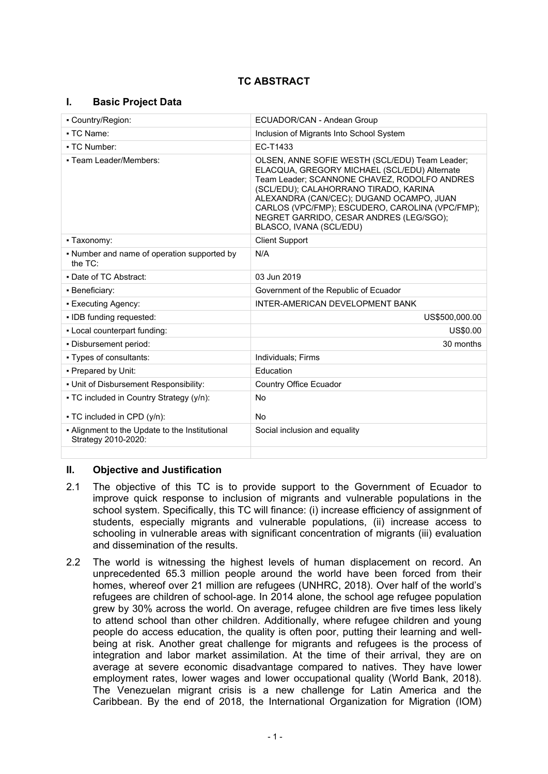# **TC ABSTRACT**

## **I. Basic Project Data**

| • Country/Region:                                                     | ECUADOR/CAN - Andean Group                                                                                                                                                                                                                                                                                                                                   |  |
|-----------------------------------------------------------------------|--------------------------------------------------------------------------------------------------------------------------------------------------------------------------------------------------------------------------------------------------------------------------------------------------------------------------------------------------------------|--|
| • TC Name:                                                            | Inclusion of Migrants Into School System                                                                                                                                                                                                                                                                                                                     |  |
| • TC Number:                                                          | EC-T1433                                                                                                                                                                                                                                                                                                                                                     |  |
| - Team Leader/Members:                                                | OLSEN, ANNE SOFIE WESTH (SCL/EDU) Team Leader;<br>ELACQUA, GREGORY MICHAEL (SCL/EDU) Alternate<br>Team Leader; SCANNONE CHAVEZ, RODOLFO ANDRES<br>(SCL/EDU); CALAHORRANO TIRADO, KARINA<br>ALEXANDRA (CAN/CEC); DUGAND OCAMPO, JUAN<br>CARLOS (VPC/FMP); ESCUDERO, CAROLINA (VPC/FMP);<br>NEGRET GARRIDO, CESAR ANDRES (LEG/SGO);<br>BLASCO, IVANA (SCL/EDU) |  |
| • Taxonomy:                                                           | <b>Client Support</b>                                                                                                                                                                                                                                                                                                                                        |  |
| • Number and name of operation supported by<br>the $TC$ :             | N/A                                                                                                                                                                                                                                                                                                                                                          |  |
| . Date of TC Abstract:                                                | 03 Jun 2019                                                                                                                                                                                                                                                                                                                                                  |  |
| • Beneficiary:                                                        | Government of the Republic of Ecuador                                                                                                                                                                                                                                                                                                                        |  |
| • Executing Agency:                                                   | INTER-AMERICAN DEVELOPMENT BANK                                                                                                                                                                                                                                                                                                                              |  |
| . IDB funding requested:                                              | US\$500,000.00                                                                                                                                                                                                                                                                                                                                               |  |
| . Local counterpart funding:                                          | US\$0.00                                                                                                                                                                                                                                                                                                                                                     |  |
| - Disbursement period:                                                | 30 months                                                                                                                                                                                                                                                                                                                                                    |  |
| • Types of consultants:                                               | Individuals: Firms                                                                                                                                                                                                                                                                                                                                           |  |
| - Prepared by Unit:                                                   | Education                                                                                                                                                                                                                                                                                                                                                    |  |
| - Unit of Disbursement Responsibility:                                | <b>Country Office Ecuador</b>                                                                                                                                                                                                                                                                                                                                |  |
| • TC included in Country Strategy (y/n):                              | <b>No</b>                                                                                                                                                                                                                                                                                                                                                    |  |
| • TC included in CPD (y/n):                                           | No                                                                                                                                                                                                                                                                                                                                                           |  |
| - Alignment to the Update to the Institutional<br>Strategy 2010-2020: | Social inclusion and equality                                                                                                                                                                                                                                                                                                                                |  |

## **II. Objective and Justification**

- 2.1 The objective of this TC is to provide support to the Government of Ecuador to improve quick response to inclusion of migrants and vulnerable populations in the school system. Specifically, this TC will finance: (i) increase efficiency of assignment of students, especially migrants and vulnerable populations, (ii) increase access to schooling in vulnerable areas with significant concentration of migrants (iii) evaluation and dissemination of the results.
- 2.2 The world is witnessing the highest levels of human displacement on record. An unprecedented 65.3 million people around the world have been forced from their homes, whereof over 21 million are refugees (UNHRC, 2018). Over half of the world's refugees are children of school-age. In 2014 alone, the school age refugee population grew by 30% across the world. On average, refugee children are five times less likely to attend school than other children. Additionally, where refugee children and young people do access education, the quality is often poor, putting their learning and wellbeing at risk. Another great challenge for migrants and refugees is the process of integration and labor market assimilation. At the time of their arrival, they are on average at severe economic disadvantage compared to natives. They have lower employment rates, lower wages and lower occupational quality (World Bank, 2018). The Venezuelan migrant crisis is a new challenge for Latin America and the Caribbean. By the end of 2018, the International Organization for Migration (IOM)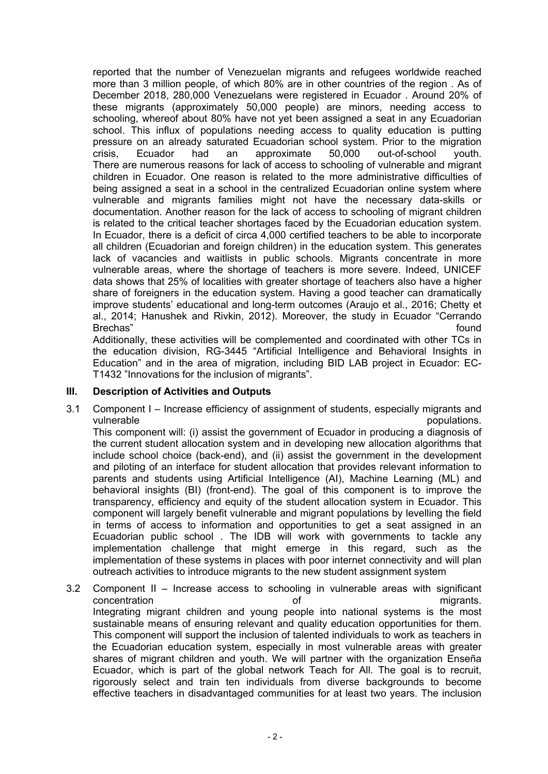reported that the number of Venezuelan migrants and refugees worldwide reached more than 3 million people, of which 80% are in other countries of the region . As of December 2018, 280,000 Venezuelans were registered in Ecuador . Around 20% of these migrants (approximately 50,000 people) are minors, needing access to schooling, whereof about 80% have not yet been assigned a seat in any Ecuadorian school. This influx of populations needing access to quality education is putting pressure on an already saturated Ecuadorian school system. Prior to the migration crisis, Ecuador had an approximate 50,000 out-of-school youth. There are numerous reasons for lack of access to schooling of vulnerable and migrant children in Ecuador. One reason is related to the more administrative difficulties of being assigned a seat in a school in the centralized Ecuadorian online system where vulnerable and migrants families might not have the necessary data-skills or documentation. Another reason for the lack of access to schooling of migrant children is related to the critical teacher shortages faced by the Ecuadorian education system. In Ecuador, there is a deficit of circa 4,000 certified teachers to be able to incorporate all children (Ecuadorian and foreign children) in the education system. This generates lack of vacancies and waitlists in public schools. Migrants concentrate in more vulnerable areas, where the shortage of teachers is more severe. Indeed, UNICEF data shows that 25% of localities with greater shortage of teachers also have a higher share of foreigners in the education system. Having a good teacher can dramatically improve students' educational and long-term outcomes (Araujo et al., 2016; Chetty et al., 2014; Hanushek and Rivkin, 2012). Moreover, the study in Ecuador "Cerrando Brechas" bund and the set of the set of the set of the set of the set of the set of the set of the set of the set of the set of the set of the set of the set of the set of the set of the set of the set of the set of the se

Additionally, these activities will be complemented and coordinated with other TCs in the education division, RG-3445 "Artificial Intelligence and Behavioral Insights in Education" and in the area of migration, including BID LAB project in Ecuador: EC-T1432 "Innovations for the inclusion of migrants".

## **III. Description of Activities and Outputs**

3.1 Component I – Increase efficiency of assignment of students, especially migrants and vulnerable **populations**.

This component will: (i) assist the government of Ecuador in producing a diagnosis of the current student allocation system and in developing new allocation algorithms that include school choice (back-end), and (ii) assist the government in the development and piloting of an interface for student allocation that provides relevant information to parents and students using Artificial Intelligence (AI), Machine Learning (ML) and behavioral insights (BI) (front-end). The goal of this component is to improve the transparency, efficiency and equity of the student allocation system in Ecuador. This component will largely benefit vulnerable and migrant populations by levelling the field in terms of access to information and opportunities to get a seat assigned in an Ecuadorian public school . The IDB will work with governments to tackle any implementation challenge that might emerge in this regard, such as the implementation of these systems in places with poor internet connectivity and will plan outreach activities to introduce migrants to the new student assignment system

3.2 Component II – Increase access to schooling in vulnerable areas with significant concentration of migrants. Integrating migrant children and young people into national systems is the most sustainable means of ensuring relevant and quality education opportunities for them. This component will support the inclusion of talented individuals to work as teachers in the Ecuadorian education system, especially in most vulnerable areas with greater shares of migrant children and youth. We will partner with the organization Enseña Ecuador, which is part of the global network Teach for All. The goal is to recruit, rigorously select and train ten individuals from diverse backgrounds to become effective teachers in disadvantaged communities for at least two years. The inclusion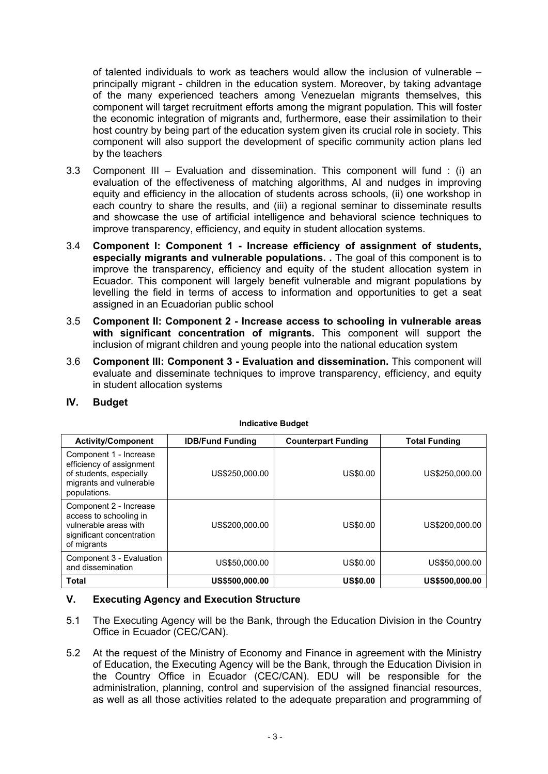of talented individuals to work as teachers would allow the inclusion of vulnerable – principally migrant - children in the education system. Moreover, by taking advantage of the many experienced teachers among Venezuelan migrants themselves, this component will target recruitment efforts among the migrant population. This will foster the economic integration of migrants and, furthermore, ease their assimilation to their host country by being part of the education system given its crucial role in society. This component will also support the development of specific community action plans led by the teachers

- 3.3 Component III Evaluation and dissemination. This component will fund : (i) an evaluation of the effectiveness of matching algorithms, AI and nudges in improving equity and efficiency in the allocation of students across schools, (ii) one workshop in each country to share the results, and (iii) a regional seminar to disseminate results and showcase the use of artificial intelligence and behavioral science techniques to improve transparency, efficiency, and equity in student allocation systems.
- 3.4 **Component I: Component 1 Increase efficiency of assignment of students, especially migrants and vulnerable populations. .** The goal of this component is to improve the transparency, efficiency and equity of the student allocation system in Ecuador. This component will largely benefit vulnerable and migrant populations by levelling the field in terms of access to information and opportunities to get a seat assigned in an Ecuadorian public school
- 3.5 **Component II: Component 2 Increase access to schooling in vulnerable areas with significant concentration of migrants.** This component will support the inclusion of migrant children and young people into the national education system
- 3.6 **Component III: Component 3 Evaluation and dissemination.** This component will evaluate and disseminate techniques to improve transparency, efficiency, and equity in student allocation systems

| IV.<br><b>Budget</b> |  |
|----------------------|--|
|----------------------|--|

| <b>Activity/Component</b>                                                                                                | <b>IDB/Fund Funding</b> | <b>Counterpart Funding</b> | <b>Total Funding</b> |
|--------------------------------------------------------------------------------------------------------------------------|-------------------------|----------------------------|----------------------|
| Component 1 - Increase<br>efficiency of assignment<br>of students, especially<br>migrants and vulnerable<br>populations. | US\$250,000,00          | US\$0.00                   | US\$250,000.00       |
| Component 2 - Increase<br>access to schooling in<br>vulnerable areas with<br>significant concentration<br>of migrants    | US\$200,000,00          | US\$0.00                   | US\$200,000.00       |
| Component 3 - Evaluation<br>and dissemination                                                                            | US\$50,000.00           | US\$0.00                   | US\$50,000.00        |
| <b>Total</b>                                                                                                             | US\$500,000.00          | <b>US\$0.00</b>            | US\$500,000.00       |

#### **Indicative Budget**

## **V. Executing Agency and Execution Structure**

- 5.1 The Executing Agency will be the Bank, through the Education Division in the Country Office in Ecuador (CEC/CAN).
- 5.2 At the request of the Ministry of Economy and Finance in agreement with the Ministry of Education, the Executing Agency will be the Bank, through the Education Division in the Country Office in Ecuador (CEC/CAN). EDU will be responsible for the administration, planning, control and supervision of the assigned financial resources, as well as all those activities related to the adequate preparation and programming of